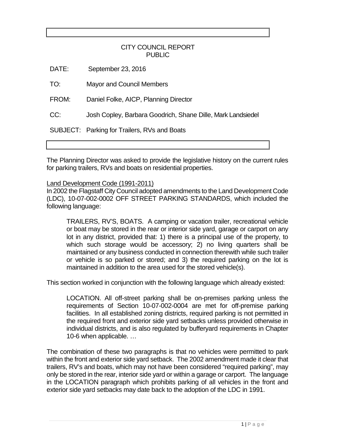# CITY COUNCIL REPORT PUBLIC

DATE: September 23, 2016

TO: Mayor and Council Members

FROM: Daniel Folke, AICP, Planning Director

CC: Josh Copley, Barbara Goodrich, Shane Dille, Mark Landsiedel

SUBJECT: Parking for Trailers, RVs and Boats

The Planning Director was asked to provide the legislative history on the current rules for parking trailers, RVs and boats on residential properties.

# Land Development Code (1991-2011)

In 2002 the Flagstaff City Council adopted amendments to the Land Development Code (LDC), 10-07-002-0002 OFF STREET PARKING STANDARDS, which included the following language:

TRAILERS, RV'S, BOATS. A camping or vacation trailer, recreational vehicle or boat may be stored in the rear or interior side yard, garage or carport on any lot in any district, provided that: 1) there is a principal use of the property, to which such storage would be accessory; 2) no living quarters shall be maintained or any business conducted in connection therewith while such trailer or vehicle is so parked or stored; and 3) the required parking on the lot is maintained in addition to the area used for the stored vehicle(s).

This section worked in conjunction with the following language which already existed:

LOCATION. All off-street parking shall be on-premises parking unless the requirements of Section 10-07-002-0004 are met for off-premise parking facilities. In all established zoning districts, required parking is not permitted in the required front and exterior side yard setbacks unless provided otherwise in individual districts, and is also regulated by bufferyard requirements in Chapter 10-6 when applicable. …

The combination of these two paragraphs is that no vehicles were permitted to park within the front and exterior side yard setback. The 2002 amendment made it clear that trailers, RV's and boats, which may not have been considered "required parking", may only be stored in the rear, interior side yard or within a garage or carport. The language in the LOCATION paragraph which prohibits parking of all vehicles in the front and exterior side yard setbacks may date back to the adoption of the LDC in 1991.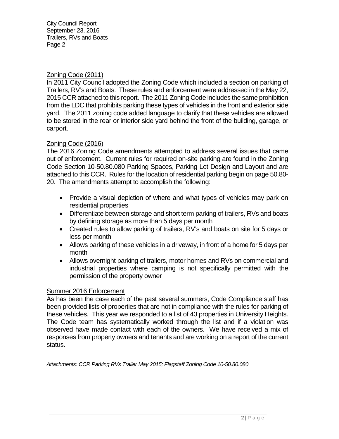City Council Report September 23, 2016 Trailers, RVs and Boats Page 2

# Zoning Code (2011)

In 2011 City Council adopted the Zoning Code which included a section on parking of Trailers, RV's and Boats. These rules and enforcement were addressed in the May 22, 2015 CCR attached to this report. The 2011 Zoning Code includes the same prohibition from the LDC that prohibits parking these types of vehicles in the front and exterior side yard. The 2011 zoning code added language to clarify that these vehicles are allowed to be stored in the rear or interior side yard behind the front of the building, garage, or carport.

# Zoning Code (2016)

The 2016 Zoning Code amendments attempted to address several issues that came out of enforcement. Current rules for required on-site parking are found in the Zoning Code Section 10-50.80.080 Parking Spaces, Parking Lot Design and Layout and are attached to this CCR. Rules for the location of residential parking begin on page 50.80- 20. The amendments attempt to accomplish the following:

- Provide a visual depiction of where and what types of vehicles may park on residential properties
- Differentiate between storage and short term parking of trailers, RVs and boats by defining storage as more than 5 days per month
- Created rules to allow parking of trailers, RV's and boats on site for 5 days or less per month
- Allows parking of these vehicles in a driveway, in front of a home for 5 days per month
- Allows overnight parking of trailers, motor homes and RVs on commercial and industrial properties where camping is not specifically permitted with the permission of the property owner

# Summer 2016 Enforcement

As has been the case each of the past several summers, Code Compliance staff has been provided lists of properties that are not in compliance with the rules for parking of these vehicles. This year we responded to a list of 43 properties in University Heights. The Code team has systematically worked through the list and if a violation was observed have made contact with each of the owners. We have received a mix of responses from property owners and tenants and are working on a report of the current status.

*Attachments: CCR Parking RVs Trailer May 2015; Flagstaff Zoning Code 10-50.80.080*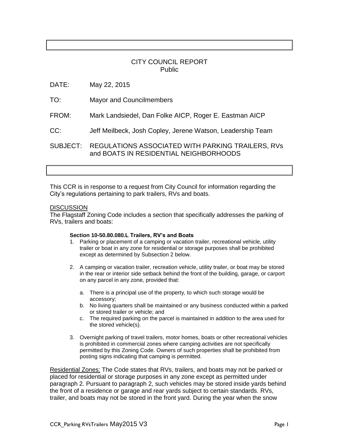# CITY COUNCIL REPORT Public

DATE: May 22, 2015

- TO: Mayor and Councilmembers
- FROM: Mark Landsiedel, Dan Folke AICP, Roger E. Eastman AICP
- CC: Jeff Meilbeck, Josh Copley, Jerene Watson, Leadership Team

SUBJECT: REGULATIONS ASSOCIATED WITH PARKING TRAILERS, RVs and BOATS IN RESIDENTIAL NEIGHBORHOODS

This CCR is in response to a request from City Council for information regarding the City's regulations pertaining to park trailers, RVs and boats.

## **DISCUSSION**

The Flagstaff Zoning Code includes a section that specifically addresses the parking of RVs, trailers and boats:

#### **Section 10-50.80.080.L Trailers, RV's and Boats**

- 1. Parking or placement of a camping or vacation trailer, recreational vehicle, utility trailer or boat in any zone for residential or storage purposes shall be prohibited except as determined by Subsection 2 below.
- 2. A camping or vacation trailer, recreation vehicle, utility trailer, or boat may be stored in the rear or interior side setback behind the front of the building, garage, or carport on any parcel in any zone, provided that:
	- a. There is a principal use of the property, to which such storage would be accessory;
	- b. No living quarters shall be maintained or any business conducted within a parked or stored trailer or vehicle; and
	- c. The required parking on the parcel is maintained in addition to the area used for the stored vehicle(s).
- 3. Overnight parking of travel trailers, motor homes, boats or other recreational vehicles is prohibited in commercial zones where camping activities are not specifically permitted by this Zoning Code. Owners of such properties shall be prohibited from posting signs indicating that camping is permitted.

Residential Zones: The Code states that RVs, trailers, and boats may not be parked or placed for residential or storage purposes in any zone except as permitted under paragraph 2. Pursuant to paragraph 2, such vehicles may be stored inside yards behind the front of a residence or garage and rear yards subject to certain standards. RVs, trailer, and boats may not be stored in the front yard. During the year when the snow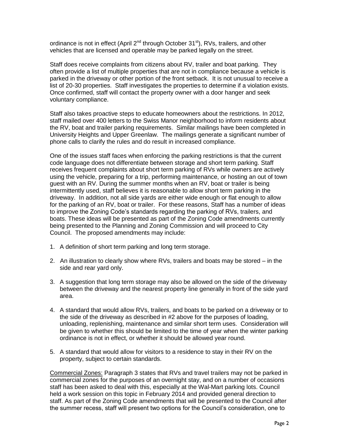ordinance is not in effect (April  $2^{nd}$  through October 31 $^{st}$ ), RVs, trailers, and other vehicles that are licensed and operable may be parked legally on the street.

Staff does receive complaints from citizens about RV, trailer and boat parking. They often provide a list of multiple properties that are not in compliance because a vehicle is parked in the driveway or other portion of the front setback. It is not unusual to receive a list of 20-30 properties. Staff investigates the properties to determine if a violation exists. Once confirmed, staff will contact the property owner with a door hanger and seek voluntary compliance.

Staff also takes proactive steps to educate homeowners about the restrictions. In 2012, staff mailed over 400 letters to the Swiss Manor neighborhood to inform residents about the RV, boat and trailer parking requirements. Similar mailings have been completed in University Heights and Upper Greenlaw. The mailings generate a significant number of phone calls to clarify the rules and do result in increased compliance.

One of the issues staff faces when enforcing the parking restrictions is that the current code language does not differentiate between storage and short term parking. Staff receives frequent complaints about short term parking of RVs while owners are actively using the vehicle, preparing for a trip, performing maintenance, or hosting an out of town guest with an RV. During the summer months when an RV, boat or trailer is being intermittently used, staff believes it is reasonable to allow short term parking in the driveway. In addition, not all side yards are either wide enough or flat enough to allow for the parking of an RV, boat or trailer. For these reasons, Staff has a number of ideas to improve the Zoning Code's standards regarding the parking of RVs, trailers, and boats. These ideas will be presented as part of the Zoning Code amendments currently being presented to the Planning and Zoning Commission and will proceed to City Council. The proposed amendments may include:

- 1. A definition of short term parking and long term storage.
- 2. An illustration to clearly show where RVs, trailers and boats may be stored in the side and rear yard only.
- 3. A suggestion that long term storage may also be allowed on the side of the driveway between the driveway and the nearest property line generally in front of the side yard area.
- 4. A standard that would allow RVs, trailers, and boats to be parked on a driveway or to the side of the driveway as described in #2 above for the purposes of loading, unloading, replenishing, maintenance and similar short term uses. Consideration will be given to whether this should be limited to the time of year when the winter parking ordinance is not in effect, or whether it should be allowed year round.
- 5. A standard that would allow for visitors to a residence to stay in their RV on the property, subject to certain standards.

Commercial Zones: Paragraph 3 states that RVs and travel trailers may not be parked in commercial zones for the purposes of an overnight stay, and on a number of occasions staff has been asked to deal with this, especially at the Wal-Mart parking lots. Council held a work session on this topic in February 2014 and provided general direction to staff. As part of the Zoning Code amendments that will be presented to the Council after the summer recess, staff will present two options for the Council's consideration, one to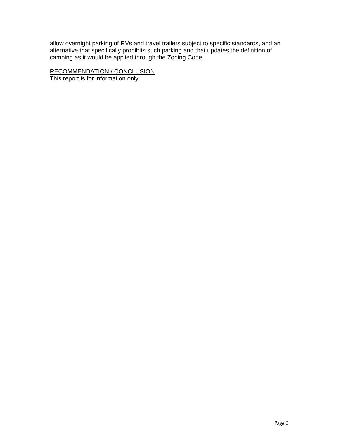allow overnight parking of RVs and travel trailers subject to specific standards, and an alternative that specifically prohibits such parking and that updates the definition of camping as it would be applied through the Zoning Code.

RECOMMENDATION / CONCLUSION

This report is for information only.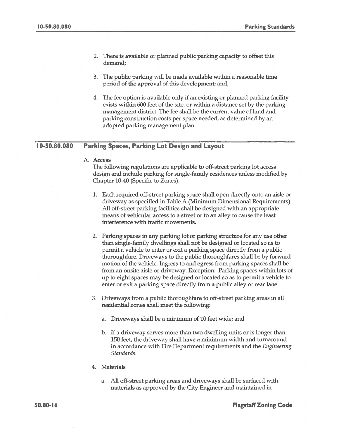- 2. There is available or planned public parking capacity to offset this demand;
- 3. The public parking will be made available within a reasonable time period of the approval of this development; and,
- 4. The fee option is available only if an existing or planned parking facility exists within 600 feet of the site, or within a distance set by the parking management district. The fee shall be the current value of land and parking construction costs per space needed, as determined by an adopted parking management plan.

#### 10-50.80.080 **Parking Spaces, Parking Lot Design and Layout**

A. Access

The following regulations are applicable to off-street parking lot access design and include parking for single-family residences unless modified by Chapter 10-40 (Specific to Zones).

- 1. Each required off-street parking space shall open directly onto an aisle or driveway as specified in Table A (Minimum Dimensional Requirements). All off-street parking facilities shall be designed with an appropriate means of vehicular access to a street or to an alley to cause the least interference with traffic movements.
- 2. Parking spaces in any parking lot or parking structure for any use other than single-family dwellings shall not be designed or located so as to permit a vehicle to enter or exit a parking space directly from a public thoroughfare. Driveways to the public thoroughfares shall be by forward motion of the vehicle. Ingress to and egress from parking spaces shall be from an onsite aisle or driveway. Exception: Parking spaces within lots of up to eight spaces may be designed or located so as to permit a vehicle to enter or exit a parking space directly from a public alley or rear lane.
- 3. Driveways from a public thoroughfare to off-street parking areas in all residential zones shall meet the following:
	- Driveways shall be a minimum of 10 feet wide; and a.
	- b. If a driveway serves more than two dwelling units or is longer than 150 feet, the driveway shall have a minimum width and turnaround in accordance with Fire Department requirements and the *Engineering* Standards.
- 4. Materials
	- a. All off-street parking areas and driveways shall be surfaced with materials as approved by the City Engineer and maintained in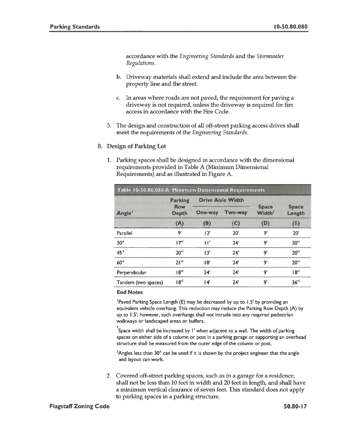accordance with the Engineering Standards and the Stormwater Regulations.

- b. Driveway materials shall extend and include the area between the property line and the street.
- c. In areas where roads are not paved, the requirement for paving a driveway is not required, unless the driveway is required for fire access in accordance with the Fire Code.
- 5. The design and construction of all off-street parking access drives shall meet the requirements of the Engineering Standards.
- **B.** Design of Parking Lot
	- 1. Parking spaces shall be designed in accordance with the dimensional requirements provided in Table A (Minimum Dimensional Requirements) and as illustrated in Figure A.

| Table 10-50.80.080.A: Minimum Dimensional Requirements |                                              |                          |                |                                    |                        |
|--------------------------------------------------------|----------------------------------------------|--------------------------|----------------|------------------------------------|------------------------|
| Ande <sup>3</sup>                                      | <b>Parking</b><br><b>Row</b><br><b>Depth</b> | <b>Drive Aisle Width</b> |                |                                    |                        |
|                                                        |                                              | <b>One-way</b>           | <b>Two-way</b> | <b>Space</b><br>Width <sup>2</sup> | <b>Space</b><br>Length |
|                                                        | (A)                                          | (B)                      | (C)            | (D)                                | (E)                    |
| Parallel                                               | 9'                                           | 12'                      | 20'            | ġ,                                 | 20'                    |
| $30^{\circ}$                                           | 17 <sup>1</sup>                              | Πľ                       | 24'            | 9'                                 | 20 <sup>11</sup>       |
| $45^\circ$                                             | 20 <sup>1</sup>                              | 13'                      | 24'            | q'                                 | $20$ '                 |
| $60^\circ$                                             | 21 <sup>11</sup>                             | 18'                      | 24'            | 9'                                 | $20$ '                 |
| Perpendicular                                          | $18$ "                                       | 24'                      | 24'            | 9'                                 | $18$ "                 |
| Tandem (two spaces)                                    | $ 8^{\prime} $                               | 14'                      | 24'            | 9'                                 | 36''                   |

#### **End Notes**

<sup>1</sup>Paved Parking Space Length (E) may be decreased by up to 1.5' by providing an equivalent vehicle overhang. This reduction may reduce the Parking Row Depth (A) by up to 1.5'; however, such overhangs shall not intrude into any required pedestrian walkways or landscaped areas or buffers.

Space width shall be increased by 1' when adjacent to a wall. The width of parking spaces on either side of a column or post in a parking garage or supporting an overhead structure shall be measured from the outer edge of the column or post.

 $3$ Angles less than  $30^{\circ}$  can be used if it is shown by the project engineer that the angle and layout can work.

2. Covered off-street parking spaces, such as in a garage for a residence, shall not be less than 10 feet in width and 20 feet in length, and shall have a minimum vertical clearance of seven feet. This standard does not apply to parking spaces in a parking structure.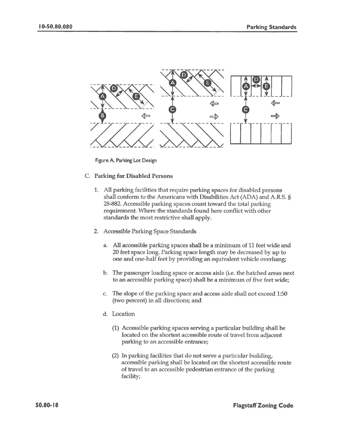

Figure A. Parking Lot Design

### C. Parking for Disabled Persons

- 1. All parking facilities that require parking spaces for disabled persons shall conform to the Americans with Disabilities Act (ADA) and A.R.S. § 28-882. Accessible parking spaces count toward the total parking requirement. Where the standards found here conflict with other standards the most restrictive shall apply.
- 2. Accessible Parking Space Standards
	- a. All accessible parking spaces shall be a minimum of 11 feet wide and 20 feet space long. Parking space length may be decreased by up to one and one-half feet by providing an equivalent vehicle overhang;
	- b. The passenger loading space or access aisle (i.e. the hatched areas next to an accessible parking space) shall be a minimum of five feet wide;
	- c. The slope of the parking space and access aisle shall not exceed 1:50 (two percent) in all directions; and
	- d. Location
		- (1) Accessible parking spaces serving a particular building shall be located on the shortest accessible route of travel from adjacent parking to an accessible entrance;
		- (2) In parking facilities that do not serve a particular building, accessible parking shall be located on the shortest accessible route of travel to an accessible pedestrian entrance of the parking facility;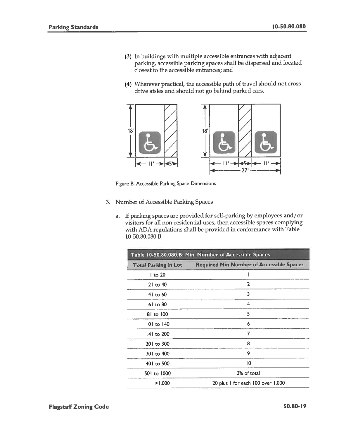- (3) In buildings with multiple accessible entrances with adjacent parking, accessible parking spaces shall be dispersed and located closest to the accessible entrances; and
- (4) Wherever practical, the accessible path of travel should not cross drive aisles and should not go behind parked cars.



Figure B. Accessible Parking Space Dimensions

- 3. Number of Accessible Parking Spaces
	- a. If parking spaces are provided for self-parking by employees and/or visitors for all non-residential uses, then accessible spaces complying with ADA regulations shall be provided in conformance with Table 10-50.80.080.B.

| Table 10-50.80.080.B: Min. Number of Accessible Spaces |                                                 |  |  |
|--------------------------------------------------------|-------------------------------------------------|--|--|
| <b>Total Parking in Lot</b>                            | <b>Required Min Number of Accessible Spaces</b> |  |  |
| $ $ to 20                                              |                                                 |  |  |
| $21$ to $40$                                           | $\overline{2}$                                  |  |  |
| 41 to 60                                               | 3                                               |  |  |
| $61$ to $80$                                           | 4                                               |  |  |
| 81 to 100                                              | 5                                               |  |  |
| 101 to 140                                             | 6                                               |  |  |
| 141 to 200                                             | 7                                               |  |  |
| 201 to 300                                             | 8                                               |  |  |
| 301 to 400                                             | 9                                               |  |  |
| 401 to 500                                             | 10                                              |  |  |
| 501 to 1000                                            | 2% of total                                     |  |  |
| 20 plus I for each 100 over 1,000<br>>1,000            |                                                 |  |  |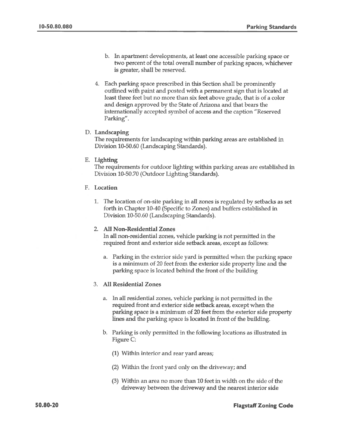- b. In apartment developments, at least one accessible parking space or two percent of the total overall number of parking spaces, whichever is greater, shall be reserved.
- 4. Each parking space prescribed in this Section shall be prominently outlined with paint and posted with a permanent sign that is located at least three feet but no more than six feet above grade, that is of a color and design approved by the State of Arizona and that bears the internationally accepted symbol of access and the caption "Reserved" Parking".

### D. Landscaping

The requirements for landscaping within parking areas are established in Division 10-50.60 (Landscaping Standards).

### E. Lighting

The requirements for outdoor lighting within parking areas are established in Division 10-50.70 (Outdoor Lighting Standards).

- **F.** Location
	- 1. The location of on-site parking in all zones is regulated by setbacks as set forth in Chapter 10-40 (Specific to Zones) and buffers established in Division 10-50.60 (Landscaping Standards).

#### 2. All Non-Residential Zones

In all non-residential zones, vehicle parking is not permitted in the required front and exterior side setback areas, except as follows:

Parking in the exterior side yard is permitted when the parking space a. is a minimum of 20 feet from the exterior side property line and the parking space is located behind the front of the building

#### 3. All Residential Zones

- In all residential zones, vehicle parking is not permitted in the a. required front and exterior side setback areas, except when the parking space is a minimum of 20 feet from the exterior side property lines and the parking space is located in front of the building.
- b. Parking is only permitted in the following locations as illustrated in Figure C:
	- (1) Within interior and rear yard areas;
	- (2) Within the front yard only on the driveway; and
	- (3) Within an area no more than 10 feet in width on the side of the driveway between the driveway and the nearest interior side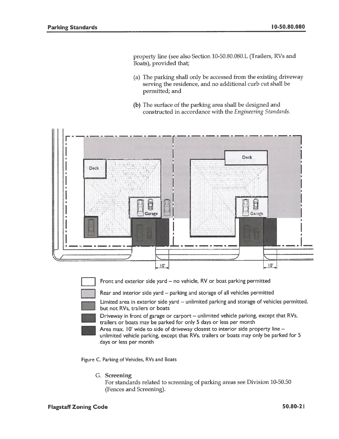property line (see also Section 10-50.80.080.L (Trailers, RVs and Boats), provided that;

- (a) The parking shall only be accessed from the existing driveway serving the residence, and no additional curb cut shall be permitted; and
- (b) The surface of the parking area shall be designed and constructed in accordance with the Engineering Standards.





Front and exterior side yard - no vehicle, RV or boat parking permitted

Rear and interior side yard - parking and storage of all vehicles permitted

Limited area in exterior side yard - unlimited parking and storage of vehicles permitted, but not RVs, trailers or boats



Driveway in front of garage or carport – unlimited vehicle parking, except that RVs, trailers or boats may be parked for only 5 days or less per month

Area max. 10' wide to side of driveway closest to interior side property line unlimited vehicle parking, except that RVs, trailers or boats may only be parked for 5 days or less per month

Figure C. Parking of Vehicles, RVs and Boats

G. Screening

For standards related to screening of parking areas see Division 10-50.50 (Fences and Screening).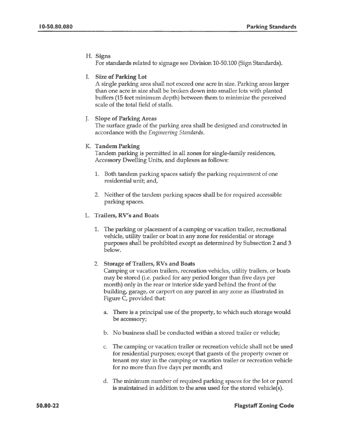### H. Signs

For standards related to signage see Division 10-50.100 (Sign Standards).

## I. Size of Parking Lot

A single parking area shall not exceed one acre in size. Parking areas larger than one acre in size shall be broken down into smaller lots with planted buffers (15 feet minimum depth) between them to minimize the perceived scale of the total field of stalls.

### J. Slope of Parking Areas

The surface grade of the parking area shall be designed and constructed in accordance with the Engineering Standards.

### K. Tandem Parking

Tandem parking is permitted in all zones for single-family residences, Accessory Dwelling Units, and duplexes as follows:

- 1. Both tandem parking spaces satisfy the parking requirement of one residential unit; and,
- 2. Neither of the tandem parking spaces shall be for required accessible parking spaces.

### L. Trailers, RV's and Boats

1. The parking or placement of a camping or vacation trailer, recreational vehicle, utility trailer or boat in any zone for residential or storage purposes shall be prohibited except as determined by Subsection 2 and 3 below.

#### 2. Storage of Trailers, RVs and Boats

Camping or vacation trailers, recreation vehicles, utility trailers, or boats may be stored (i.e. parked for any period longer than five days per month) only in the rear or interior side yard behind the front of the building, garage, or carport on any parcel in any zone as illustrated in Figure C, provided that:

- a. There is a principal use of the property, to which such storage would be accessory;
- b. No business shall be conducted within a stored trailer or vehicle;
- c. The camping or vacation trailer or recreation vehicle shall not be used for residential purposes; except that guests of the property owner or tenant my stay in the camping or vacation trailer or recreation vehicle for no more than five days per month; and
- d. The minimum number of required parking spaces for the lot or parcel is maintained in addition to the area used for the stored vehicle(s).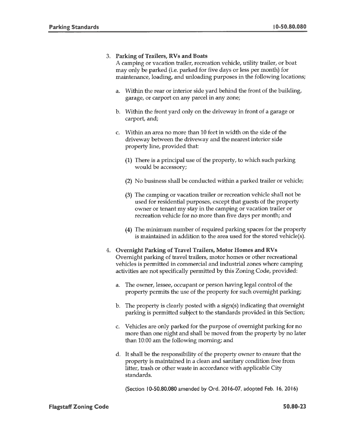## 3. Parking of Trailers, RVs and Boats

A camping or vacation trailer, recreation vehicle, utility trailer, or boat may only be parked (i.e. parked for five days or less per month) for maintenance, loading, and unloading purposes in the following locations;

- a. Within the rear or interior side yard behind the front of the building, garage, or carport on any parcel in any zone;
- b. Within the front yard only on the driveway in front of a garage or carport, and;
- c. Within an area no more than 10 feet in width on the side of the driveway between the driveway and the nearest interior side property line, provided that:
	- (1) There is a principal use of the property, to which such parking would be accessory;
	- (2) No business shall be conducted within a parked trailer or vehicle;
	- (3) The camping or vacation trailer or recreation vehicle shall not be used for residential purposes, except that guests of the property owner or tenant my stay in the camping or vacation trailer or recreation vehicle for no more than five days per month; and
	- (4) The minimum number of required parking spaces for the property is maintained in addition to the area used for the stored vehicle(s).
- 4. Overnight Parking of Travel Trailers, Motor Homes and RVs Overnight parking of travel trailers, motor homes or other recreational vehicles is permitted in commercial and industrial zones where camping activities are not specifically permitted by this Zoning Code, provided:
	- The owner, lessee, occupant or person having legal control of the a. property permits the use of the property for such overnight parking;
	- b. The property is clearly posted with a sign(s) indicating that overnight parking is permitted subject to the standards provided in this Section;
	- Vehicles are only parked for the purpose of overnight parking for no c. more than one night and shall be moved from the property by no later than 10:00 am the following morning; and
	- d. It shall be the responsibility of the property owner to ensure that the property is maintained in a clean and sanitary condition free from litter, trash or other waste in accordance with applicable City standards.

(Section 10-50.80.080 amended by Ord. 2016-07, adopted Feb. 16, 2016)